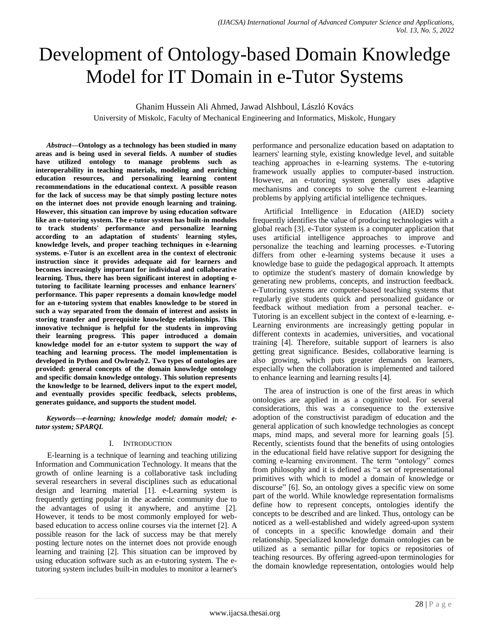# Development of Ontology-based Domain Knowledge Model for IT Domain in e-Tutor Systems

Ghanim Hussein Ali Ahmed, Jawad Alshboul, László Kovács

University of Miskolc, Faculty of Mechanical Engineering and Informatics, Miskolc, Hungary

*Abstract***—Ontology as a technology has been studied in many areas and is being used in several fields. A number of studies have utilized ontology to manage problems such as interoperability in teaching materials, modeling and enriching education resources, and personalizing learning content recommendations in the educational context. A possible reason for the lack of success may be that simply posting lecture notes on the internet does not provide enough learning and training. However, this situation can improve by using education software like an e-tutoring system. The e-tutor system has built-in modules to track students' performance and personalize learning according to an adaptation of students' learning styles, knowledge levels, and proper teaching techniques in e-learning systems. e-Tutor is an excellent area in the context of electronic instruction since it provides adequate aid for learners and becomes increasingly important for individual and collaborative learning. Thus, there has been significant interest in adopting etutoring to facilitate learning processes and enhance learners' performance. This paper represents a domain knowledge model for an e-tutoring system that enables knowledge to be stored in such a way separated from the domain of interest and assists in storing transfer and prerequisite knowledge relationships. This innovative technique is helpful for the students in improving their learning progress. This paper introduced a domain knowledge model for an e-tutor system to support the way of teaching and learning process. The model implementation is developed in Python and Owlready2. Two types of ontologies are provided: general concepts of the domain knowledge ontology and specific domain knowledge ontology. This solution represents the knowledge to be learned, delivers input to the expert model, and eventually provides specific feedback, selects problems, generates guidance, and supports the student model.**

*Keywords***—***e-learning; knowledge model; domain model; etutor system; SPARQL*

## I. INTRODUCTION

E-learning is a technique of learning and teaching utilizing Information and Communication Technology. It means that the growth of online learning is a collaborative task including several researchers in several disciplines such as educational design and learning material [1]. e-Learning system is frequently getting popular in the academic community due to the advantages of using it anywhere, and anytime [2]. However, it tends to be most commonly employed for webbased education to access online courses via the internet [2]. A possible reason for the lack of success may be that merely posting lecture notes on the internet does not provide enough learning and training [2]. This situation can be improved by using education software such as an e-tutoring system. The etutoring system includes built-in modules to monitor a learner's performance and personalize education based on adaptation to learners' learning style, existing knowledge level, and suitable teaching approaches in e-learning systems. The e-tutoring framework usually applies to computer-based instruction. However, an e-tutoring system generally uses adaptive mechanisms and concepts to solve the current e-learning problems by applying artificial intelligence techniques.

Artificial Intelligence in Education (AIED) society frequently identifies the value of producing technologies with a global reach [3]. e-Tutor system is a computer application that uses artificial intelligence approaches to improve and personalize the teaching and learning processes. e-Tutoring differs from other e-learning systems because it uses a knowledge base to guide the pedagogical approach. It attempts to optimize the student's mastery of domain knowledge by generating new problems, concepts, and instruction feedback. e-Tutoring systems are computer-based teaching systems that regularly give students quick and personalized guidance or feedback without mediation from a personal teacher. e-Tutoring is an excellent subject in the context of e-learning. e-Learning environments are increasingly getting popular in different contexts in academies, universities, and vocational training [4]. Therefore, suitable support of learners is also getting great significance. Besides, collaborative learning is also growing, which puts greater demands on learners, especially when the collaboration is implemented and tailored to enhance learning and learning results [4].

The area of instruction is one of the first areas in which ontologies are applied in as a cognitive tool. For several considerations, this was a consequence to the extensive adoption of the constructivist paradigm of education and the general application of such knowledge technologies as concept maps, mind maps, and several more for learning goals [5]. Recently, scientists found that the benefits of using ontologies in the educational field have relative support for designing the coming e-learning environment. The term "ontology" comes from philosophy and it is defined as "a set of representational primitives with which to model a domain of knowledge or discourse" [6]. So, an ontology gives a specific view on some part of the world. While knowledge representation formalisms define how to represent concepts, ontologies identify the concepts to be described and are linked. Thus, ontology can be noticed as a well-established and widely agreed-upon system of concepts in a specific knowledge domain and their relationship. Specialized knowledge domain ontologies can be utilized as a semantic pillar for topics or repositories of teaching resources. By offering agreed-upon terminologies for the domain knowledge representation, ontologies would help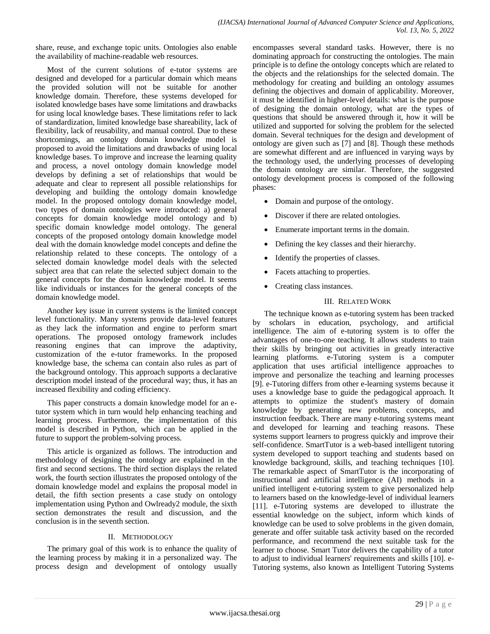share, reuse, and exchange topic units. Ontologies also enable the availability of machine-readable web resources.

Most of the current solutions of e-tutor systems are designed and developed for a particular domain which means the provided solution will not be suitable for another knowledge domain. Therefore, these systems developed for isolated knowledge bases have some limitations and drawbacks for using local knowledge bases. These limitations refer to lack of standardization, limited knowledge base shareability, lack of flexibility, lack of reusability, and manual control. Due to these shortcomings, an ontology domain knowledge model is proposed to avoid the limitations and drawbacks of using local knowledge bases. To improve and increase the learning quality and process, a novel ontology domain knowledge model develops by defining a set of relationships that would be adequate and clear to represent all possible relationships for developing and building the ontology domain knowledge model. In the proposed ontology domain knowledge model, two types of domain ontologies were introduced: a) general concepts for domain knowledge model ontology and b) specific domain knowledge model ontology. The general concepts of the proposed ontology domain knowledge model deal with the domain knowledge model concepts and define the relationship related to these concepts. The ontology of a selected domain knowledge model deals with the selected subject area that can relate the selected subject domain to the general concepts for the domain knowledge model. It seems like individuals or instances for the general concepts of the domain knowledge model.

Another key issue in current systems is the limited concept level functionality. Many systems provide data-level features as they lack the information and engine to perform smart operations. The proposed ontology framework includes reasoning engines that can improve the adaptivity, customization of the e-tutor frameworks. In the proposed knowledge base, the schema can contain also rules as part of the background ontology. This approach supports a declarative description model instead of the procedural way; thus, it has an increased flexibility and coding efficiency.

This paper constructs a domain knowledge model for an etutor system which in turn would help enhancing teaching and learning process. Furthermore, the implementation of this model is described in Python, which can be applied in the future to support the problem-solving process.

This article is organized as follows. The introduction and methodology of designing the ontology are explained in the first and second sections. The third section displays the related work, the fourth section illustrates the proposed ontology of the domain knowledge model and explains the proposal model in detail, the fifth section presents a case study on ontology implementation using Python and Owlready2 module, the sixth section demonstrates the result and discussion, and the conclusion is in the seventh section.

# II. METHODOLOGY

The primary goal of this work is to enhance the quality of the learning process by making it in a personalized way. The process design and development of ontology usually encompasses several standard tasks. However, there is no dominating approach for constructing the ontologies. The main principle is to define the ontology concepts which are related to the objects and the relationships for the selected domain. The methodology for creating and building an ontology assumes defining the objectives and domain of applicability. Moreover, it must be identified in higher-level details: what is the purpose of designing the domain ontology, what are the types of questions that should be answered through it, how it will be utilized and supported for solving the problem for the selected domain. Several techniques for the design and development of ontology are given such as [7] and [8]. Though these methods are somewhat different and are influenced in varying ways by the technology used, the underlying processes of developing the domain ontology are similar. Therefore, the suggested ontology development process is composed of the following phases:

- Domain and purpose of the ontology.
- Discover if there are related ontologies.
- Enumerate important terms in the domain.
- Defining the key classes and their hierarchy.
- Identify the properties of classes.
- Facets attaching to properties.
- Creating class instances.

## III. RELATED WORK

The technique known as e-tutoring system has been tracked by scholars in education, psychology, and artificial intelligence. The aim of e-tutoring system is to offer the advantages of one-to-one teaching. It allows students to train their skills by bringing out activities in greatly interactive learning platforms. e-Tutoring system is a computer application that uses artificial intelligence approaches to improve and personalize the teaching and learning processes [9]. e-Tutoring differs from other e-learning systems because it uses a knowledge base to guide the pedagogical approach. It attempts to optimize the student's mastery of domain knowledge by generating new problems, concepts, and instruction feedback. There are many e-tutoring systems meant and developed for learning and teaching reasons. These systems support learners to progress quickly and improve their self-confidence. SmartTutor is a web-based intelligent tutoring system developed to support teaching and students based on knowledge background, skills, and teaching techniques [10]. The remarkable aspect of SmartTutor is the incorporating of instructional and artificial intelligence (AI) methods in a unified intelligent e-tutoring system to give personalized help to learners based on the knowledge-level of individual learners [11]. e-Tutoring systems are developed to illustrate the essential knowledge on the subject, inform which kinds of knowledge can be used to solve problems in the given domain, generate and offer suitable task activity based on the recorded performance, and recommend the next suitable task for the learner to choose. Smart Tutor delivers the capability of a tutor to adjust to individual learners' requirements and skills [10]. e-Tutoring systems, also known as Intelligent Tutoring Systems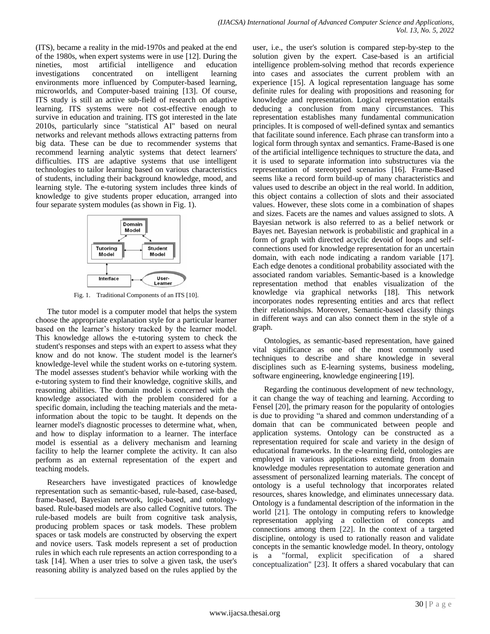(ITS), became a reality in the mid-1970s and peaked at the end of the 1980s, when expert systems were in use [12]. During the nineties, most artificial intelligence and education investigations concentrated on intelligent learning environments more influenced by Computer-based learning, microworlds, and Computer-based training [13]. Of course, ITS study is still an active sub-field of research on adaptive learning. ITS systems were not cost-effective enough to survive in education and training. ITS got interested in the late 2010s, particularly since "statistical AI" based on neural networks and relevant methods allows extracting patterns from big data. These can be due to recommender systems that recommend learning analytic systems that detect learners' difficulties. ITS are adaptive systems that use intelligent technologies to tailor learning based on various characteristics of students, including their background knowledge, mood, and learning style. The e-tutoring system includes three kinds of knowledge to give students proper education, arranged into four separate system modules (as shown in Fig. 1).



Fig. 1. Traditional Components of an ITS [10].

The tutor model is a computer model that helps the system choose the appropriate explanation style for a particular learner based on the learner's history tracked by the learner model. This knowledge allows the e-tutoring system to check the student's responses and steps with an expert to assess what they know and do not know. The student model is the learner's knowledge-level while the student works on e-tutoring system. The model assesses student's behavior while working with the e-tutoring system to find their knowledge, cognitive skills, and reasoning abilities. The domain model is concerned with the knowledge associated with the problem considered for a specific domain, including the teaching materials and the metainformation about the topic to be taught. It depends on the learner model's diagnostic processes to determine what, when, and how to display information to a learner. The interface model is essential as a delivery mechanism and learning facility to help the learner complete the activity. It can also perform as an external representation of the expert and teaching models.

Researchers have investigated practices of knowledge representation such as semantic-based, rule-based, case-based, frame-based, Bayesian network, logic-based, and ontologybased. Rule-based models are also called Cognitive tutors. The rule-based models are built from cognitive task analysis, producing problem spaces or task models. These problem spaces or task models are constructed by observing the expert and novice users. Task models represent a set of production rules in which each rule represents an action corresponding to a task [14]. When a user tries to solve a given task, the user's reasoning ability is analyzed based on the rules applied by the user, i.e., the user's solution is compared step-by-step to the solution given by the expert. Case-based is an artificial intelligence problem-solving method that records experience into cases and associates the current problem with an experience [15]. A logical representation language has some definite rules for dealing with propositions and reasoning for knowledge and representation. Logical representation entails deducing a conclusion from many circumstances. This representation establishes many fundamental communication principles. It is composed of well-defined syntax and semantics that facilitate sound inference. Each phrase can transform into a logical form through syntax and semantics. Frame-Based is one of the artificial intelligence techniques to structure the data, and it is used to separate information into substructures via the representation of stereotyped scenarios [16]. Frame-Based seems like a record form build-up of many characteristics and values used to describe an object in the real world. In addition, this object contains a collection of slots and their associated values. However, these slots come in a combination of shapes and sizes. Facets are the names and values assigned to slots. A Bayesian network is also referred to as a belief network or Bayes net. Bayesian network is probabilistic and graphical in a form of graph with directed acyclic devoid of loops and selfconnections used for knowledge representation for an uncertain domain, with each node indicating a random variable [17]. Each edge denotes a conditional probability associated with the associated random variables. Semantic-based is a knowledge representation method that enables visualization of the knowledge via graphical networks [18]. This network incorporates nodes representing entities and arcs that reflect their relationships. Moreover, Semantic-based classify things in different ways and can also connect them in the style of a graph.

Ontologies, as semantic-based representation, have gained vital significance as one of the most commonly used techniques to describe and share knowledge in several disciplines such as E-learning systems, business modeling, software engineering, knowledge engineering [19].

Regarding the continuous development of new technology, it can change the way of teaching and learning. According to Fensel [20], the primary reason for the popularity of ontologies is due to providing "a shared and common understanding of a domain that can be communicated between people and application systems. Ontology can be constructed as a representation required for scale and variety in the design of educational frameworks. In the e-learning field, ontologies are employed in various applications extending from domain knowledge modules representation to automate generation and assessment of personalized learning materials. The concept of ontology is a useful technology that incorporates related resources, shares knowledge, and eliminates unnecessary data. Ontology is a fundamental description of the information in the world [21]. The ontology in computing refers to knowledge representation applying a collection of concepts and connections among them [22]. In the context of a targeted discipline, ontology is used to rationally reason and validate concepts in the semantic knowledge model. In theory, ontology is a "formal, explicit specification of a shared conceptualization" [23]. It offers a shared vocabulary that can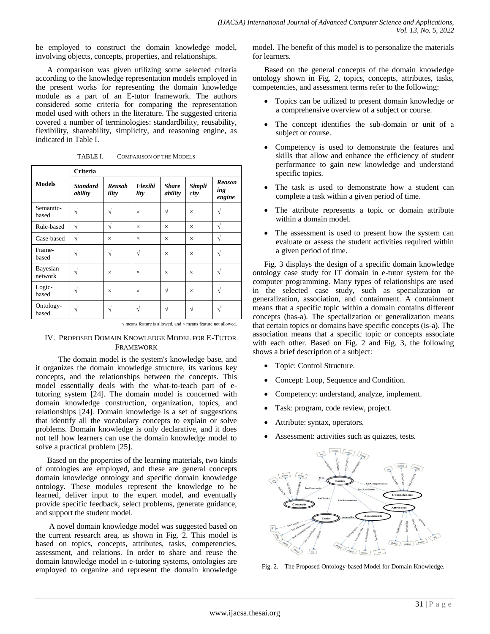be employed to construct the domain knowledge model, involving objects, concepts, properties, and relationships.

A comparison was given utilizing some selected criteria according to the knowledge representation models employed in the present works for representing the domain knowledge module as a part of an E-tutor framework. The authors considered some criteria for comparing the representation model used with others in the literature. The suggested criteria covered a number of terminologies: standardbility, reusability, flexibility, shareability, simplicity, and reasoning engine, as indicated in Table I.

|                     | Criteria                   |                 |                 |                         |                |                                |
|---------------------|----------------------------|-----------------|-----------------|-------------------------|----------------|--------------------------------|
| <b>Models</b>       | <b>Standard</b><br>ability | Reusah<br>ility | Flexibi<br>lity | <b>Share</b><br>ability | Simpli<br>city | <b>Reason</b><br>ing<br>engine |
| Semantic-<br>based  | $\sqrt{ }$                 | V               | $\times$        | N                       | $\times$       | ٦                              |
| Rule-based          | $\sqrt{ }$                 | $\sqrt{ }$      | $\times$        | $\times$                | $\times$       | $\sqrt{}$                      |
| Case-based          | $\sqrt{}$                  | $\times$        | $\times$        | $\times$                | $\times$       | V                              |
| Frame-<br>based     | $\sqrt{}$                  | V               | V               | $\times$                | $\times$       | V                              |
| Bayesian<br>network |                            | $\times$        | $\times$        | $\times$                | $\times$       | V                              |
| Logic-<br>based     | V                          | $\times$        | $\times$        | V                       | $\times$       | V                              |
| Ontology-<br>based  |                            |                 |                 |                         | N              | ٦                              |

TABLE I. COMPARISON OF THE MODELS

√ means feature is allowed, and × means feature not allowed.

# IV. PROPOSED DOMAIN KNOWLEDGE MODEL FOR E-TUTOR FRAMEWORK

The domain model is the system's knowledge base, and it organizes the domain knowledge structure, its various key concepts, and the relationships between the concepts. This model essentially deals with the what-to-teach part of etutoring system [24]. The domain model is concerned with domain knowledge construction, organization, topics, and relationships [24]. Domain knowledge is a set of suggestions that identify all the vocabulary concepts to explain or solve problems. Domain knowledge is only declarative, and it does not tell how learners can use the domain knowledge model to solve a practical problem [25].

Based on the properties of the learning materials, two kinds of ontologies are employed, and these are general concepts domain knowledge ontology and specific domain knowledge ontology. These modules represent the knowledge to be learned, deliver input to the expert model, and eventually provide specific feedback, select problems, generate guidance, and support the student model.

A novel domain knowledge model was suggested based on the current research area, as shown in Fig. 2. This model is based on topics, concepts, attributes, tasks, competencies, assessment, and relations. In order to share and reuse the domain knowledge model in e-tutoring systems, ontologies are employed to organize and represent the domain knowledge

model. The benefit of this model is to personalize the materials for learners.

Based on the general concepts of the domain knowledge ontology shown in Fig. 2, topics, concepts, attributes, tasks, competencies, and assessment terms refer to the following:

- Topics can be utilized to present domain knowledge or a comprehensive overview of a subject or course.
- The concept identifies the sub-domain or unit of a subject or course.
- Competency is used to demonstrate the features and skills that allow and enhance the efficiency of student performance to gain new knowledge and understand specific topics.
- The task is used to demonstrate how a student can complete a task within a given period of time.
- The attribute represents a topic or domain attribute within a domain model.
- The assessment is used to present how the system can evaluate or assess the student activities required within a given period of time.

Fig. 3 displays the design of a specific domain knowledge ontology case study for IT domain in e-tutor system for the computer programming. Many types of relationships are used in the selected case study, such as specialization or generalization, association, and containment. A containment means that a specific topic within a domain contains different concepts (has-a). The specialization or generalization means that certain topics or domains have specific concepts (is-a). The association means that a specific topic or concepts associate with each other. Based on Fig. 2 and Fig. 3, the following shows a brief description of a subject:

- Topic: Control Structure.
- Concept: Loop, Sequence and Condition.
- Competency: understand, analyze, implement.
- Task: program, code review, project.
- Attribute: syntax, operators.
- Assessment: activities such as quizzes, tests.



Fig. 2. The Proposed Ontology-based Model for Domain Knowledge.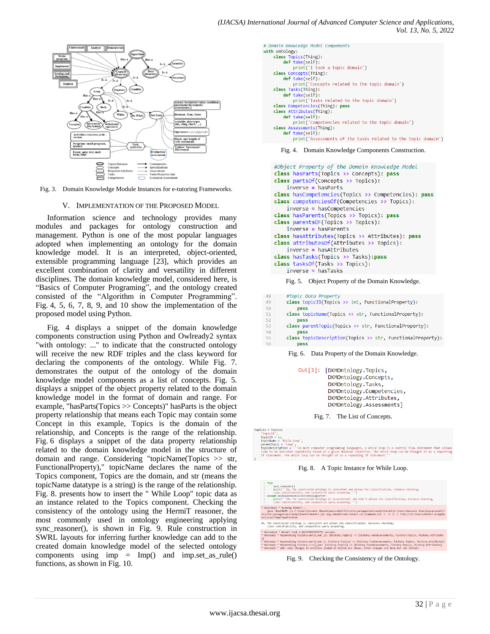

Fig. 3. Domain Knowledge Module Instances for e-tutoring Frameworks.

#### V. IMPLEMENTATION OF THE PROPOSED MODEL

Information science and technology provides many modules and packages for ontology construction and management. Python is one of the most popular languages adopted when implementing an ontology for the domain knowledge model. It is an interpreted, object-oriented, extensible programming language [23], which provides an excellent combination of clarity and versatility in different disciplines. The domain knowledge model, considered here, is "Basics of Computer Programing", and the ontology created consisted of the "Algorithm in Computer Programming". Fig. 4, 5, 6, 7, 8, 9, and 10 show the implementation of the proposed model using Python.

Fig. 4 displays a snippet of the domain knowledge components construction using Python and Owlready2 syntax "with ontology: ..." to indicate that the constructed ontology will receive the new RDF triples and the class keyword for declaring the components of the ontology. While Fig. 7. demonstrates the output of the ontology of the domain knowledge model components as a list of concepts. Fig. 5. displays a snippet of the object property related to the domain knowledge model in the format of domain and range. For example, "hasParts(Topics >> Concepts)" hasParts is the object property relationship that means each Topic may contain some Concept in this example, Topics is the domain of the relationship, and Concepts is the range of the relationship. Fig. 6 displays a snippet of the data property relationship related to the domain knowledge model in the structure of domain and range. Considering "topicName(Topics >> str, FunctionalProperty)," topicName declares the name of the Topics component, Topics are the domain, and str (means the topicName datatype is a string) is the range of the relationship. Fig. 8. presents how to insert the " While Loop" topic data as an instance related to the Topics component. Checking the consistency of the ontology using the HermiT reasoner, the most commonly used in ontology engineering applying sync\_reasoner(), is shown in Fig. 9. Rule construction in SWRL layouts for inferring further knowledge can add to the created domain knowledge model of the selected ontology components using imp  $=$  Imp() and imp.set\_as\_rule() functions, as shown in Fig. 10.

| t Domain Knowledge Model Components<br>nith ontology:         |
|---------------------------------------------------------------|
|                                                               |
| class Topics(Thing):                                          |
| def take(self):                                               |
|                                                               |
| print('I took a topic domain')                                |
| class Concepts(Thing):                                        |
| def take(self):                                               |
| print('Concepts related to the topic domain')                 |
| class Tasks(Thing):                                           |
| $def$ take(self):                                             |
| print('Tasks related to the topic domain')                    |
| class Competencies(Thing): pass                               |
| class Attributes(Thing):                                      |
| def take(self):                                               |
| print('Competencies related to the topic domain')             |
| class Assessments(Thing):                                     |
| def take(self):                                               |
|                                                               |
| print('Assessments of the tasks related to the topic domain') |
|                                                               |

Fig. 4. Domain Knowledge Components Construction.

```
#Object Property of the Domain Knowledge Model
class hasParts(Topics >> Concepts): pass
class partsOf(Concepts >> Topics):
   inverse = hasPartsclass hasCompetencies(Topics >> Competencies): pass
class competenciesOf(Competencies >> Topics):
   inverse = hasCompetencies
class hasParents(Topics >> Topics): pass
class parentsOF(Topics >> Topics):
   inverse = hasParentsclass hasAttributes(Topics >> Attributes): pass
class attributesOf(Attributes >> Topics):
   inverse = hasAttributesclass hasTasks(Topics >> Tasks):pass
class tasksOf(Tasks >> Topics):
   inverse = hasTasks
```
Fig. 5. Object Property of the Domain Knowledge.

| 48 | #Topic Data Property                                       |
|----|------------------------------------------------------------|
| 49 | class topicID(Topics >> int, FunctionalProperty):          |
| 50 | pass                                                       |
| 51 | class topicName(Topics >> str, FunctionalProperty):        |
| 52 | pass                                                       |
| 53 | class parentTopic(Topics >> str, FunctionalProperty):      |
| 54 | pass                                                       |
| 55 | class topicDescription(Topics >> str, FunctionalProperty): |
| 56 | pass                                                       |
|    |                                                            |

Fig. 6. Data Property of the Domain Knowledge.

Out[3]: [DKMOntology.Topics, DKMOntology.Concepts, DKMOntology.Tasks, DKMOntology.Competencies, DKMOntology.Attributes, DKMOntology.Assessments]

Fig. 7. The List of Concepts.

```
topic11 = Topics('topicII',<br>topicID = 11,<br>topicName = 'While Loop',<br>parentTopic = 'Loop',<br>topicDescription = ''In mo<br>code to be executed repeate
```
= 'Loop',<br>tion = '''In most computer programming languages, a while loop<br>xecuted repeatedly based on a given Boolean condition. The whi<br>.. The while loop can be thought of as a repeating if statement

Fig. 8. A Topic Instance for While Loop.

| 1 try:<br>sync reasoner()<br>$\mathcal{P}$<br>print(""Ok, The constructed ontology is consistent and allows the classification, instance checking,<br>class satisfiability, and conjunctive query answering."")<br>except OwlReadyInconsistentOntologyError:<br>print(""The The constructed ontology is inconsistent! and didn't allows the classification, instance checking,<br>6<br>class satisfiability, and conjunctive query answering,"")<br>$\mathcal{I}$                                                                                                                |
|----------------------------------------------------------------------------------------------------------------------------------------------------------------------------------------------------------------------------------------------------------------------------------------------------------------------------------------------------------------------------------------------------------------------------------------------------------------------------------------------------------------------------------------------------------------------------------|
| * Owlready2 * Running HermiT<br>iava -Xmx2000M -cp C:\Users\Hussein Ghanim\anaconda3\lib\site-packages\owlreadv2\hermit:C:\Users\Hussein Ghanim\anaconda3\l<br>ib\site-packages\owlready2\hermit\HermiT,iar org.semanticweb.HermiT.cli.CommandLine -c -0 -D -I file:///C:/Users/HUSSEI~1/AppDa<br>ta/Local/Temp/tmp6hvb5n1e                                                                                                                                                                                                                                                      |
| Ok, The constructed ontology is consistent and allows the classification, instance checking,<br>class satisfiability, and conjunctive query answering.                                                                                                                                                                                                                                                                                                                                                                                                                           |
| * Owlready2 * HermiT took 3.442250967025757 seconds<br>* Owlready * Reparenting history.world war II: {history.Topics} => {history.TaskAssessments, history.Topics, history.Attribute<br>s}<br>* Owlready * Reparenting history.world war I: (history.Topics) => (history.TaskAssessments, history.Topics, history.Attributes)<br>* Owlready * Reparenting history.civil war: {history.Topics} => {history.TaskAssessments, history.Topics, history.Attributes}<br>* Owlready * (NB: only changes on entities loaded in Python are shown, other changes are done but not listed) |

Fig. 9. Checking the Consistency of the Ontology.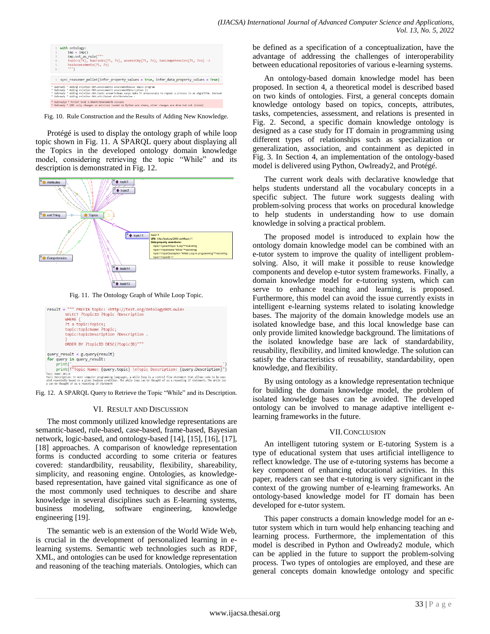|                | with ontology:                                                                                                                                                                                                                                |
|----------------|-----------------------------------------------------------------------------------------------------------------------------------------------------------------------------------------------------------------------------------------------|
| $\overline{2}$ | $\text{imp} = \text{Imp}()$                                                                                                                                                                                                                   |
| 3              | imp.set as rule("""                                                                                                                                                                                                                           |
| $\Delta$       | Topics(?t), hasTasks(?t, ?s), assesstBy(?t, ?s), hasCompetencies(?t, ?co) ->                                                                                                                                                                  |
| 5              | hasAssessments(?t. ?s)                                                                                                                                                                                                                        |
| 6              |                                                                                                                                                                                                                                               |
|                |                                                                                                                                                                                                                                               |
|                |                                                                                                                                                                                                                                               |
|                | sync reasoner pellet(infer property values = True, infer data property values = True)<br>* Owlready * Adding relation DKM, assessment2 assessmentValue small program<br>* Owlready * Adding relation DKM.assessment2 assessmentDescription () |
|                | * Owlready * Adding relation DKM.task3 answerSchema Loops make it unnecessary to repeat a process in an algorithm. Instead<br>* Owlready * Adding relation DKM.attribute4 attributeValue =                                                    |

Fig. 10. Rule Construction and the Results of Adding New Knowledge.

Protégé is used to display the ontology graph of while loop topic shown in Fig. 11. A SPARQL query about displaying all the Topics in the developed ontology domain knowledge model, considering retrieving the topic "While" and its description is demonstrated in Fig. 12.





Fig. 12. A SPARQL Query to Retrieve the Topic "While" and its Description.

### VI. RESULT AND DISCUSSION

The most commonly utilized knowledge representations are semantic-based, rule-based, case-based, frame-based, Bayesian network, logic-based, and ontology-based [14], [15], [16], [17], [18] approaches. A comparison of knowledge representation forms is conducted according to some criteria or features covered: standardbility, reusability, flexibility, shareability, simplicity, and reasoning engine. Ontologies, as knowledgebased representation, have gained vital significance as one of the most commonly used techniques to describe and share knowledge in several disciplines such as E-learning systems, business modeling, software engineering, knowledge engineering [19].

The semantic web is an extension of the World Wide Web, is crucial in the development of personalized learning in elearning systems. Semantic web technologies such as RDF, XML, and ontologies can be used for knowledge representation and reasoning of the teaching materials. Ontologies, which can be defined as a specification of a conceptualization, have the advantage of addressing the challenges of interoperability between educational repositories of various e-learning systems.

An ontology-based domain knowledge model has been proposed. In section 4, a theoretical model is described based on two kinds of ontologies. First, a general concepts domain knowledge ontology based on topics, concepts, attributes, tasks, competencies, assessment, and relations is presented in Fig. 2. Second, a specific domain knowledge ontology is designed as a case study for IT domain in programming using different types of relationships such as specialization or generalization, association, and containment as depicted in Fig. 3. In Section 4, an implementation of the ontology-based model is delivered using Python, Owlready2, and Protégé.

The current work deals with declarative knowledge that helps students understand all the vocabulary concepts in a specific subject. The future work suggests dealing with problem-solving process that works on procedural knowledge to help students in understanding how to use domain knowledge in solving a practical problem.

The proposed model is introduced to explain how the ontology domain knowledge model can be combined with an e-tutor system to improve the quality of intelligent problemsolving. Also, it will make it possible to reuse knowledge components and develop e-tutor system frameworks. Finally, a domain knowledge model for e-tutoring system, which can serve to enhance teaching and learning, is proposed. Furthermore, this model can avoid the issue currently exists in intelligent e-learning systems related to isolating knowledge bases. The majority of the domain knowledge models use an isolated knowledge base, and this local knowledge base can only provide limited knowledge background. The limitations of the isolated knowledge base are lack of standardability, reusability, flexibility, and limited knowledge. The solution can satisfy the characteristics of reusability, standardability, open knowledge, and flexibility.

By using ontology as a knowledge representation technique for building the domain knowledge model, the problem of isolated knowledge bases can be avoided. The developed ontology can be involved to manage adaptive intelligent elearning frameworks in the future.

### VII.CONCLUSION

An intelligent tutoring system or E-tutoring System is a type of educational system that uses artificial intelligence to reflect knowledge. The use of e-tutoring systems has become a key component of enhancing educational activities. In this paper, readers can see that e-tutoring is very significant in the context of the growing number of e-learning frameworks. An ontology-based knowledge model for IT domain has been developed for e-tutor system.

This paper constructs a domain knowledge model for an etutor system which in turn would help enhancing teaching and learning process. Furthermore, the implementation of this model is described in Python and Owlready2 module, which can be applied in the future to support the problem-solving process. Two types of ontologies are employed, and these are general concepts domain knowledge ontology and specific